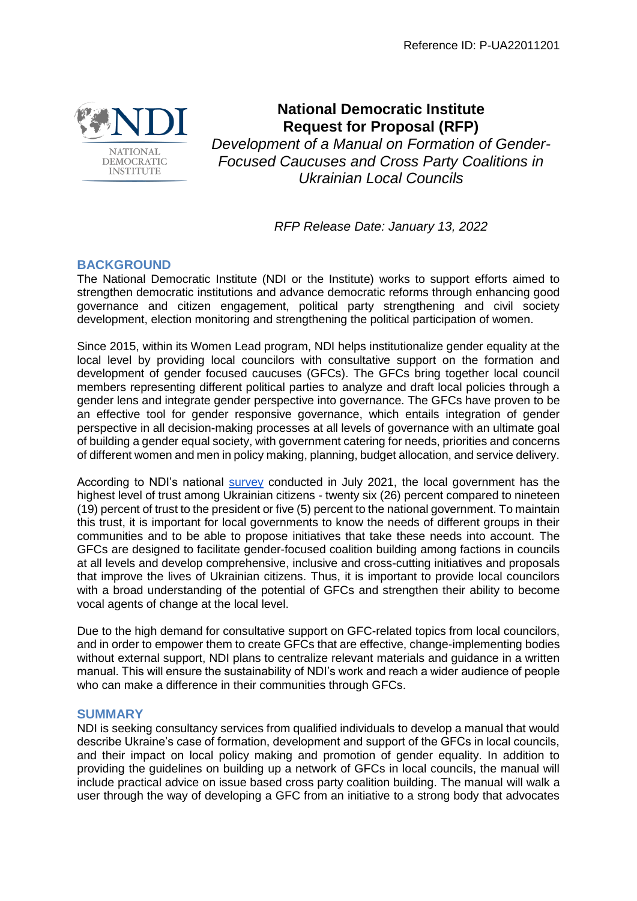

# **National Democratic Institute Request for Proposal (RFP)**

*Development of a Manual on Formation of Gender-Focused Caucuses and Cross Party Coalitions in Ukrainian Local Councils*

*RFP Release Date: January 13, 2022*

## **BACKGROUND**

The National Democratic Institute (NDI or the Institute) works to support efforts aimed to strengthen democratic institutions and advance democratic reforms through enhancing good governance and citizen engagement, political party strengthening and civil society development, election monitoring and strengthening the political participation of women.

Since 2015, within its Women Lead program, NDI helps institutionalize gender equality at the local level by providing local councilors with consultative support on the formation and development of gender focused caucuses (GFCs). The GFCs bring together local council members representing different political parties to analyze and draft local policies through a gender lens and integrate gender perspective into governance. The GFCs have proven to be an effective tool for gender responsive governance, which entails integration of gender perspective in all decision-making processes at all levels of governance with an ultimate goal of building a gender equal society, with government catering for needs, priorities and concerns of different women and men in policy making, planning, budget allocation, and service delivery.

According to NDI's national [survey](https://www.ndi.org/publications/ndi-poll-opportunities-and-challenges-facing-ukraine-s-democratic-transition-2) conducted in July 2021, the local government has the highest level of trust among Ukrainian citizens - twenty six (26) percent compared to nineteen (19) percent of trust to the president or five (5) percent to the national government. To maintain this trust, it is important for local governments to know the needs of different groups in their communities and to be able to propose initiatives that take these needs into account. The GFCs are designed to facilitate gender-focused coalition building among factions in councils at all levels and develop comprehensive, inclusive and cross-cutting initiatives and proposals that improve the lives of Ukrainian citizens. Thus, it is important to provide local councilors with a broad understanding of the potential of GFCs and strengthen their ability to become vocal agents of change at the local level.

Due to the high demand for consultative support on GFC-related topics from local councilors, and in order to empower them to create GFCs that are effective, change-implementing bodies without external support, NDI plans to centralize relevant materials and quidance in a written manual. This will ensure the sustainability of NDI's work and reach a wider audience of people who can make a difference in their communities through GFCs.

## **SUMMARY**

NDI is seeking consultancy services from qualified individuals to develop a manual that would describe Ukraine's case of formation, development and support of the GFCs in local councils, and their impact on local policy making and promotion of gender equality. In addition to providing the guidelines on building up a network of GFCs in local councils, the manual will include practical advice on issue based cross party coalition building. The manual will walk a user through the way of developing a GFC from an initiative to a strong body that advocates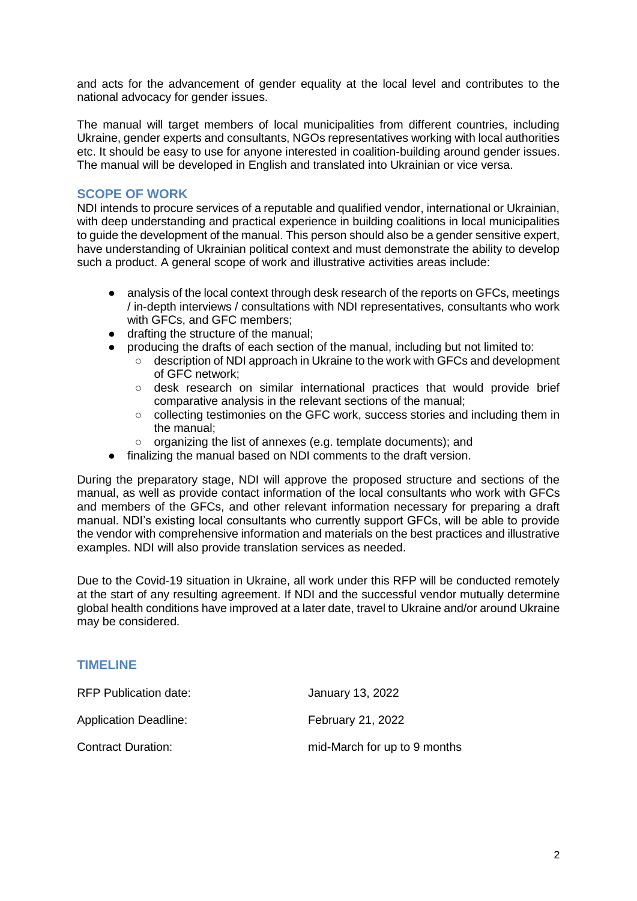and acts for the advancement of gender equality at the local level and contributes to the national advocacy for gender issues.

The manual will target members of local municipalities from different countries, including Ukraine, gender experts and consultants, NGOs representatives working with local authorities etc. It should be easy to use for anyone interested in coalition-building around gender issues. The manual will be developed in English and translated into Ukrainian or vice versa.

#### **SCOPE OF WORK**

NDI intends to procure services of a reputable and qualified vendor, international or Ukrainian, with deep understanding and practical experience in building coalitions in local municipalities to guide the development of the manual. This person should also be a gender sensitive expert, have understanding of Ukrainian political context and must demonstrate the ability to develop such a product. A general scope of work and illustrative activities areas include:

- analysis of the local context through desk research of the reports on GFCs, meetings / in-depth interviews / consultations with NDI representatives, consultants who work with GFCs, and GFC members;
- drafting the structure of the manual;
- producing the drafts of each section of the manual, including but not limited to:
	- description of NDI approach in Ukraine to the work with GFCs and development of GFC network;
	- $\circ$  desk research on similar international practices that would provide brief comparative analysis in the relevant sections of the manual;
	- collecting testimonies on the GFC work, success stories and including them in the manual;
	- organizing the list of annexes (e.g. template documents); and
- finalizing the manual based on NDI comments to the draft version.

During the preparatory stage, NDI will approve the proposed structure and sections of the manual, as well as provide contact information of the local consultants who work with GFCs and members of the GFCs, and other relevant information necessary for preparing a draft manual. NDI's existing local consultants who currently support GFCs, will be able to provide the vendor with comprehensive information and materials on the best practices and illustrative examples. NDI will also provide translation services as needed.

Due to the Covid-19 situation in Ukraine, all work under this RFP will be conducted remotely at the start of any resulting agreement. If NDI and the successful vendor mutually determine global health conditions have improved at a later date, travel to Ukraine and/or around Ukraine may be considered.

#### **TIMELINE**

| RFP Publication date:        | January 13, 2022             |
|------------------------------|------------------------------|
| <b>Application Deadline:</b> | <b>February 21, 2022</b>     |
| <b>Contract Duration:</b>    | mid-March for up to 9 months |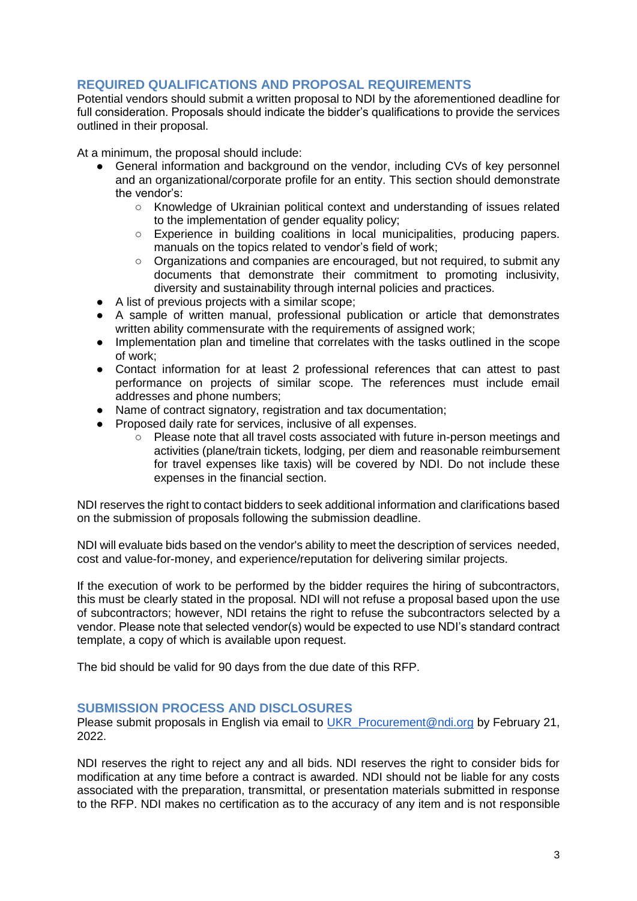## **REQUIRED QUALIFICATIONS AND PROPOSAL REQUIREMENTS**

Potential vendors should submit a written proposal to NDI by the aforementioned deadline for full consideration. Proposals should indicate the bidder's qualifications to provide the services outlined in their proposal.

At a minimum, the proposal should include:

- General information and background on the vendor, including CVs of key personnel and an organizational/corporate profile for an entity. This section should demonstrate the vendor's:
	- Knowledge of Ukrainian political context and understanding of issues related to the implementation of gender equality policy;
	- Experience in building coalitions in local municipalities, producing papers. manuals on the topics related to vendor's field of work;
	- Organizations and companies are encouraged, but not required, to submit any documents that demonstrate their commitment to promoting inclusivity, diversity and sustainability through internal policies and practices.
- A list of previous projects with a similar scope;
- A sample of written manual, professional publication or article that demonstrates written ability commensurate with the requirements of assigned work;
- Implementation plan and timeline that correlates with the tasks outlined in the scope of work;
- Contact information for at least 2 professional references that can attest to past performance on projects of similar scope. The references must include email addresses and phone numbers;
- Name of contract signatory, registration and tax documentation;
- Proposed daily rate for services, inclusive of all expenses.
	- Please note that all travel costs associated with future in-person meetings and activities (plane/train tickets, lodging, per diem and reasonable reimbursement for travel expenses like taxis) will be covered by NDI. Do not include these expenses in the financial section.

NDI reserves the right to contact bidders to seek additional information and clarifications based on the submission of proposals following the submission deadline.

NDI will evaluate bids based on the vendor's ability to meet the description of services needed, cost and value-for-money, and experience/reputation for delivering similar projects.

If the execution of work to be performed by the bidder requires the hiring of subcontractors, this must be clearly stated in the proposal. NDI will not refuse a proposal based upon the use of subcontractors; however, NDI retains the right to refuse the subcontractors selected by a vendor. Please note that selected vendor(s) would be expected to use NDI's standard contract template, a copy of which is available upon request.

The bid should be valid for 90 days from the due date of this RFP.

#### **SUBMISSION PROCESS AND DISCLOSURES**

Please submit proposals in English via email to UKR Procurement@ndi.org by February 21, 2022.

NDI reserves the right to reject any and all bids. NDI reserves the right to consider bids for modification at any time before a contract is awarded. NDI should not be liable for any costs associated with the preparation, transmittal, or presentation materials submitted in response to the RFP. NDI makes no certification as to the accuracy of any item and is not responsible